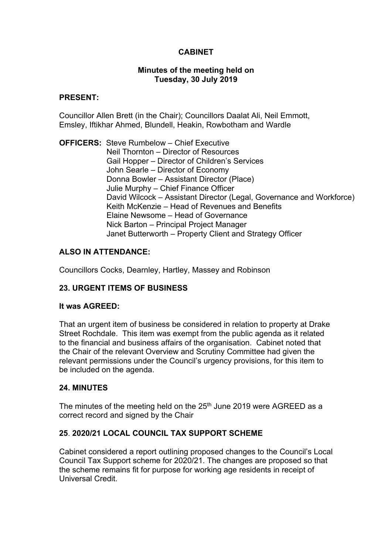# **CABINET**

### **Minutes of the meeting held on Tuesday, 30 July 2019**

### **PRESENT:**

Councillor Allen Brett (in the Chair); Councillors Daalat Ali, Neil Emmott, Emsley, Iftikhar Ahmed, Blundell, Heakin, Rowbotham and Wardle

**OFFICERS:** Steve Rumbelow – Chief Executive Neil Thornton – Director of Resources Gail Hopper – Director of Children's Services John Searle – Director of Economy Donna Bowler – Assistant Director (Place) Julie Murphy – Chief Finance Officer David Wilcock – Assistant Director (Legal, Governance and Workforce) Keith McKenzie – Head of Revenues and Benefits Elaine Newsome – Head of Governance Nick Barton – Principal Project Manager Janet Butterworth – Property Client and Strategy Officer

# **ALSO IN ATTENDANCE:**

Councillors Cocks, Dearnley, Hartley, Massey and Robinson

# **23. URGENT ITEMS OF BUSINESS**

### **It was AGREED:**

That an urgent item of business be considered in relation to property at Drake Street Rochdale. This item was exempt from the public agenda as it related to the financial and business affairs of the organisation. Cabinet noted that the Chair of the relevant Overview and Scrutiny Committee had given the relevant permissions under the Council's urgency provisions, for this item to be included on the agenda.

# **24. MINUTES**

The minutes of the meeting held on the 25<sup>th</sup> June 2019 were AGREED as a correct record and signed by the Chair

# **25**. **2020/21 LOCAL COUNCIL TAX SUPPORT SCHEME**

Cabinet considered a report outlining proposed changes to the Council's Local Council Tax Support scheme for 2020/21. The changes are proposed so that the scheme remains fit for purpose for working age residents in receipt of Universal Credit.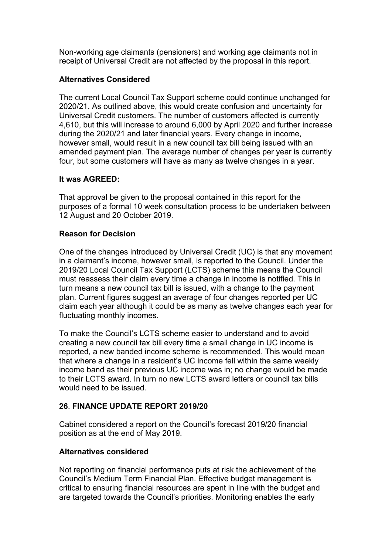Non-working age claimants (pensioners) and working age claimants not in receipt of Universal Credit are not affected by the proposal in this report.

# **Alternatives Considered**

The current Local Council Tax Support scheme could continue unchanged for 2020/21. As outlined above, this would create confusion and uncertainty for Universal Credit customers. The number of customers affected is currently 4,610, but this will increase to around 6,000 by April 2020 and further increase during the 2020/21 and later financial years. Every change in income, however small, would result in a new council tax bill being issued with an amended payment plan. The average number of changes per year is currently four, but some customers will have as many as twelve changes in a year.

# **It was AGREED:**

That approval be given to the proposal contained in this report for the purposes of a formal 10 week consultation process to be undertaken between 12 August and 20 October 2019.

# **Reason for Decision**

One of the changes introduced by Universal Credit (UC) is that any movement in a claimant's income, however small, is reported to the Council. Under the 2019/20 Local Council Tax Support (LCTS) scheme this means the Council must reassess their claim every time a change in income is notified. This in turn means a new council tax bill is issued, with a change to the payment plan. Current figures suggest an average of four changes reported per UC claim each year although it could be as many as twelve changes each year for fluctuating monthly incomes.

To make the Council's LCTS scheme easier to understand and to avoid creating a new council tax bill every time a small change in UC income is reported, a new banded income scheme is recommended. This would mean that where a change in a resident's UC income fell within the same weekly income band as their previous UC income was in; no change would be made to their LCTS award. In turn no new LCTS award letters or council tax bills would need to be issued.

# **26**. **FINANCE UPDATE REPORT 2019/20**

Cabinet considered a report on the Council's forecast 2019/20 financial position as at the end of May 2019.

# **Alternatives considered**

Not reporting on financial performance puts at risk the achievement of the Council's Medium Term Financial Plan. Effective budget management is critical to ensuring financial resources are spent in line with the budget and are targeted towards the Council's priorities. Monitoring enables the early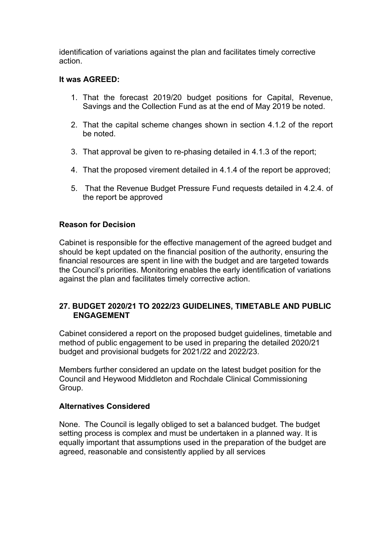identification of variations against the plan and facilitates timely corrective action.

# **It was AGREED:**

- 1. That the forecast 2019/20 budget positions for Capital, Revenue, Savings and the Collection Fund as at the end of May 2019 be noted.
- 2. That the capital scheme changes shown in section 4.1.2 of the report be noted.
- 3. That approval be given to re-phasing detailed in 4.1.3 of the report;
- 4. That the proposed virement detailed in 4.1.4 of the report be approved;
- 5. That the Revenue Budget Pressure Fund requests detailed in 4.2.4. of the report be approved

# **Reason for Decision**

Cabinet is responsible for the effective management of the agreed budget and should be kept updated on the financial position of the authority, ensuring the financial resources are spent in line with the budget and are targeted towards the Council's priorities. Monitoring enables the early identification of variations against the plan and facilitates timely corrective action.

# **27. BUDGET 2020/21 TO 2022/23 GUIDELINES, TIMETABLE AND PUBLIC ENGAGEMENT**

Cabinet considered a report on the proposed budget guidelines, timetable and method of public engagement to be used in preparing the detailed 2020/21 budget and provisional budgets for 2021/22 and 2022/23.

Members further considered an update on the latest budget position for the Council and Heywood Middleton and Rochdale Clinical Commissioning Group.

# **Alternatives Considered**

None. The Council is legally obliged to set a balanced budget. The budget setting process is complex and must be undertaken in a planned way. It is equally important that assumptions used in the preparation of the budget are agreed, reasonable and consistently applied by all services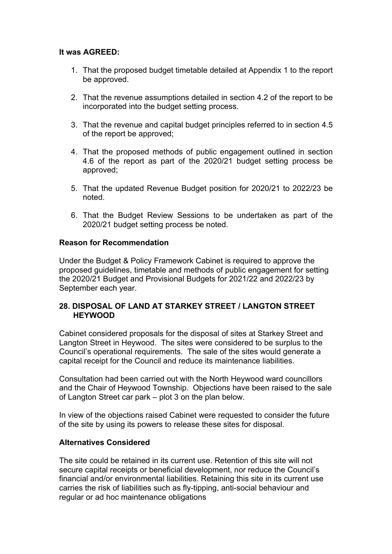# **It was AGREED:**

- 1. That the proposed budget timetable detailed at Appendix 1 to the report be approved.
- 2. That the revenue assumptions detailed in section 4.2 of the report to be incorporated into the budget setting process.
- 3. That the revenue and capital budget principles referred to in section 4.5 of the report be approved;
- 4. That the proposed methods of public engagement outlined in section 4.6 of the report as part of the 2020/21 budget setting process be approved;
- 5. That the updated Revenue Budget position for 2020/21 to 2022/23 be noted.
- 6. That the Budget Review Sessions to be undertaken as part of the 2020/21 budget setting process be noted.

# **Reason for Recommendation**

Under the Budget & Policy Framework Cabinet is required to approve the proposed guidelines, timetable and methods of public engagement for setting the 2020/21 Budget and Provisional Budgets for 2021/22 and 2022/23 by September each year.

# **28. DISPOSAL OF LAND AT STARKEY STREET / LANGTON STREET HEYWOOD**

Cabinet considered proposals for the disposal of sites at Starkey Street and Langton Street in Heywood. The sites were considered to be surplus to the Council's operational requirements. The sale of the sites would generate a capital receipt for the Council and reduce its maintenance liabilities.

Consultation had been carried out with the North Heywood ward councillors and the Chair of Heywood Township. Objections have been raised to the sale of Langton Street car park – plot 3 on the plan below.

In view of the objections raised Cabinet were requested to consider the future of the site by using its powers to release these sites for disposal.

# **Alternatives Considered**

The site could be retained in its current use. Retention of this site will not secure capital receipts or beneficial development, nor reduce the Council's financial and/or environmental liabilities. Retaining this site in its current use carries the risk of liabilities such as fly-tipping, anti-social behaviour and regular or ad hoc maintenance obligations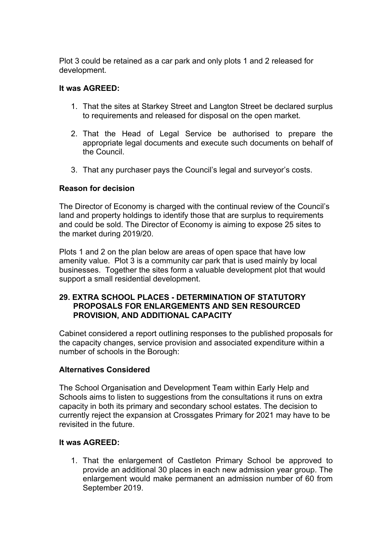Plot 3 could be retained as a car park and only plots 1 and 2 released for development.

# **It was AGREED:**

- 1. That the sites at Starkey Street and Langton Street be declared surplus to requirements and released for disposal on the open market.
- 2. That the Head of Legal Service be authorised to prepare the appropriate legal documents and execute such documents on behalf of the Council.
- 3. That any purchaser pays the Council's legal and surveyor's costs.

### **Reason for decision**

The Director of Economy is charged with the continual review of the Council's land and property holdings to identify those that are surplus to requirements and could be sold. The Director of Economy is aiming to expose 25 sites to the market during 2019/20.

Plots 1 and 2 on the plan below are areas of open space that have low amenity value. Plot 3 is a community car park that is used mainly by local businesses. Together the sites form a valuable development plot that would support a small residential development.

# **29. EXTRA SCHOOL PLACES - DETERMINATION OF STATUTORY PROPOSALS FOR ENLARGEMENTS AND SEN RESOURCED PROVISION, AND ADDITIONAL CAPACITY**

Cabinet considered a report outlining responses to the published proposals for the capacity changes, service provision and associated expenditure within a number of schools in the Borough:

### **Alternatives Considered**

The School Organisation and Development Team within Early Help and Schools aims to listen to suggestions from the consultations it runs on extra capacity in both its primary and secondary school estates. The decision to currently reject the expansion at Crossgates Primary for 2021 may have to be revisited in the future.

### **It was AGREED:**

1. That the enlargement of Castleton Primary School be approved to provide an additional 30 places in each new admission year group. The enlargement would make permanent an admission number of 60 from September 2019.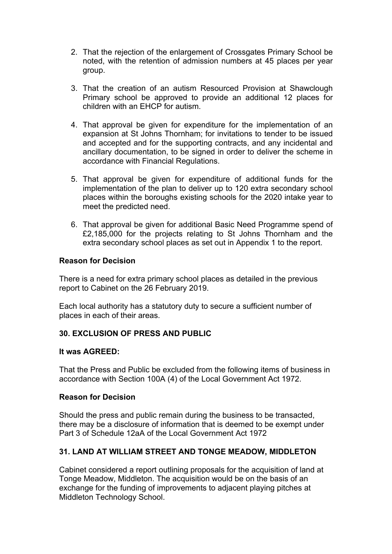- 2. That the rejection of the enlargement of Crossgates Primary School be noted, with the retention of admission numbers at 45 places per year group.
- 3. That the creation of an autism Resourced Provision at Shawclough Primary school be approved to provide an additional 12 places for children with an EHCP for autism.
- 4. That approval be given for expenditure for the implementation of an expansion at St Johns Thornham; for invitations to tender to be issued and accepted and for the supporting contracts, and any incidental and ancillary documentation, to be signed in order to deliver the scheme in accordance with Financial Regulations.
- 5. That approval be given for expenditure of additional funds for the implementation of the plan to deliver up to 120 extra secondary school places within the boroughs existing schools for the 2020 intake year to meet the predicted need.
- 6. That approval be given for additional Basic Need Programme spend of £2,185,000 for the projects relating to St Johns Thornham and the extra secondary school places as set out in Appendix 1 to the report.

# **Reason for Decision**

There is a need for extra primary school places as detailed in the previous report to Cabinet on the 26 February 2019.

Each local authority has a statutory duty to secure a sufficient number of places in each of their areas.

# **30. EXCLUSION OF PRESS AND PUBLIC**

### **It was AGREED:**

That the Press and Public be excluded from the following items of business in accordance with Section 100A (4) of the Local Government Act 1972.

# **Reason for Decision**

Should the press and public remain during the business to be transacted, there may be a disclosure of information that is deemed to be exempt under Part 3 of Schedule 12aA of the Local Government Act 1972

# **31. LAND AT WILLIAM STREET AND TONGE MEADOW, MIDDLETON**

Cabinet considered a report outlining proposals for the acquisition of land at Tonge Meadow, Middleton. The acquisition would be on the basis of an exchange for the funding of improvements to adjacent playing pitches at Middleton Technology School.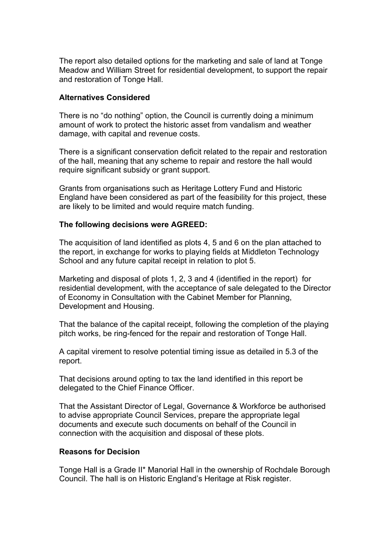The report also detailed options for the marketing and sale of land at Tonge Meadow and William Street for residential development, to support the repair and restoration of Tonge Hall.

### **Alternatives Considered**

There is no "do nothing" option, the Council is currently doing a minimum amount of work to protect the historic asset from vandalism and weather damage, with capital and revenue costs.

There is a significant conservation deficit related to the repair and restoration of the hall, meaning that any scheme to repair and restore the hall would require significant subsidy or grant support.

Grants from organisations such as Heritage Lottery Fund and Historic England have been considered as part of the feasibility for this project, these are likely to be limited and would require match funding.

### **The following decisions were AGREED:**

The acquisition of land identified as plots 4, 5 and 6 on the plan attached to the report, in exchange for works to playing fields at Middleton Technology School and any future capital receipt in relation to plot 5.

Marketing and disposal of plots 1, 2, 3 and 4 (identified in the report) for residential development, with the acceptance of sale delegated to the Director of Economy in Consultation with the Cabinet Member for Planning, Development and Housing.

That the balance of the capital receipt, following the completion of the playing pitch works, be ring-fenced for the repair and restoration of Tonge Hall.

A capital virement to resolve potential timing issue as detailed in 5.3 of the report.

That decisions around opting to tax the land identified in this report be delegated to the Chief Finance Officer.

That the Assistant Director of Legal, Governance & Workforce be authorised to advise appropriate Council Services, prepare the appropriate legal documents and execute such documents on behalf of the Council in connection with the acquisition and disposal of these plots.

### **Reasons for Decision**

Tonge Hall is a Grade II\* Manorial Hall in the ownership of Rochdale Borough Council. The hall is on Historic England's Heritage at Risk register.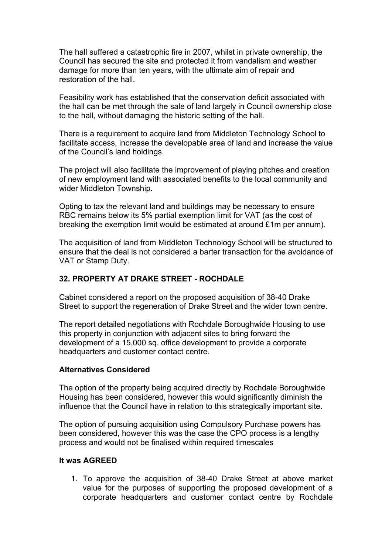The hall suffered a catastrophic fire in 2007, whilst in private ownership, the Council has secured the site and protected it from vandalism and weather damage for more than ten years, with the ultimate aim of repair and restoration of the hall.

Feasibility work has established that the conservation deficit associated with the hall can be met through the sale of land largely in Council ownership close to the hall, without damaging the historic setting of the hall.

There is a requirement to acquire land from Middleton Technology School to facilitate access, increase the developable area of land and increase the value of the Council's land holdings.

The project will also facilitate the improvement of playing pitches and creation of new employment land with associated benefits to the local community and wider Middleton Township.

Opting to tax the relevant land and buildings may be necessary to ensure RBC remains below its 5% partial exemption limit for VAT (as the cost of breaking the exemption limit would be estimated at around £1m per annum).

The acquisition of land from Middleton Technology School will be structured to ensure that the deal is not considered a barter transaction for the avoidance of VAT or Stamp Duty.

# **32. PROPERTY AT DRAKE STREET - ROCHDALE**

Cabinet considered a report on the proposed acquisition of 38-40 Drake Street to support the regeneration of Drake Street and the wider town centre.

The report detailed negotiations with Rochdale Boroughwide Housing to use this property in conjunction with adjacent sites to bring forward the development of a 15,000 sq. office development to provide a corporate headquarters and customer contact centre.

### **Alternatives Considered**

The option of the property being acquired directly by Rochdale Boroughwide Housing has been considered, however this would significantly diminish the influence that the Council have in relation to this strategically important site.

The option of pursuing acquisition using Compulsory Purchase powers has been considered, however this was the case the CPO process is a lengthy process and would not be finalised within required timescales

### **It was AGREED**

1. To approve the acquisition of 38-40 Drake Street at above market value for the purposes of supporting the proposed development of a corporate headquarters and customer contact centre by Rochdale